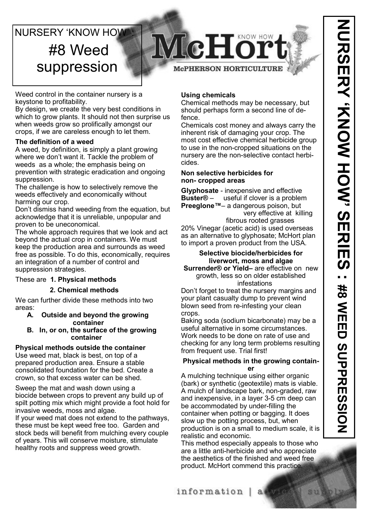# **NURSERY 'KNOW HOW'** #8 Weed suppression



Weed control in the container nursery is a keystone to profitability.

By design, we create the very best conditions in which to grow plants. It should not then surprise us when weeds grow so prolifically amongst our crops, if we are careless enough to let them.

### **The definition of a weed**

A weed, by definition, is simply a plant growing where we don't want it. Tackle the problem of weeds as a whole; the emphasis being on prevention with strategic eradication and ongoing suppression.

The challenge is how to selectively remove the weeds effectively and economically without harming our crop.

Don't dismiss hand weeding from the equation, but acknowledge that it is unreliable, unpopular and proven to be uneconomical.

The whole approach requires that we look and act beyond the actual crop in containers. We must keep the production area and surrounds as weed free as possible. To do this, economically, requires an integration of a number of control and suppression strategies.

## These are **1. Physical methods**

### **2. Chemical methods**

We can further divide these methods into two areas:

- **A. Outside and beyond the growing container**
- **B. In, or on, the surface of the growing container**

## **Physical methods outside the container**

Use weed mat, black is best, on top of a prepared production area. Ensure a stable consolidated foundation for the bed. Create a crown, so that excess water can be shed.

Sweep the mat and wash down using a biocide between crops to prevent any build up of spilt potting mix which might provide a foot hold for invasive weeds, moss and algae.

If your weed mat does not extend to the pathways, these must be kept weed free too. Garden and stock beds will benefit from mulching every couple of years. This will conserve moisture, stimulate healthy roots and suppress weed growth.

## **Using chemicals**

Chemical methods may be necessary, but should perhaps form a second line of defence.

Chemicals cost money and always carry the inherent risk of damaging your crop. The most cost effective chemical herbicide group to use in the non-cropped situations on the nursery are the non-selective contact herbicides.

#### **Non selective herbicides for non- cropped areas**

**Glyphosate** - inexpensive and effective **Buster®** – useful if clover is a problem **Preeglone™**– a dangerous poison, but very effective at killing

 fibrous rooted grasses 20% Vinegar (acetic acid) is used overseas as an alternative to glyphosate; McHort plan to import a proven product from the USA.

#### **Selective biocide/herbicides for liverwort, moss and algae Surrender® or Yield–** are effective on new

growth, less so on older established infestations

Don't forget to treat the nursery margins and your plant casualty dump to prevent wind blown seed from re-infesting your clean crops.

Baking soda (sodium bicarbonate) may be a useful alternative in some circumstances. Work needs to be done on rate of use and checking for any long term problems resulting from frequent use. Trial first!

## **Physical methods in the growing container**

A mulching technique using either organic (bark) or synthetic (geotextile) mats is viable. A mulch of landscape bark, non-graded, raw and inexpensive, in a layer 3-5 cm deep can be accommodated by under-filling the container when potting or bagging. It does slow up the potting process, but, when production is on a small to medium scale, it is realistic and economic.

This method especially appeals to those who are a little anti-herbicide and who appreciate the aesthetics of the finished and weed free product. McHort commend this practice.